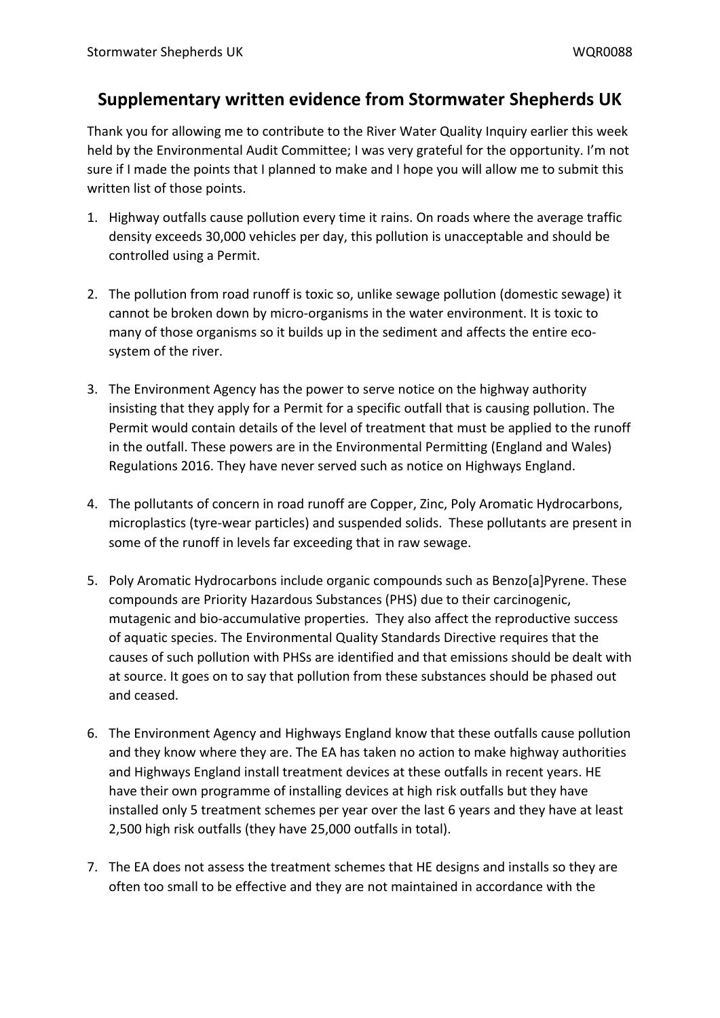## **Supplementary written evidence from Stormwater Shepherds UK**

Thank you for allowing me to contribute to the River Water Quality Inquiry earlier this week held by the Environmental Audit Committee; I was very grateful for the opportunity. I'm not sure if I made the points that I planned to make and I hope you will allow me to submit this written list of those points.

- 1. Highway outfalls cause pollution every time it rains. On roads where the average traffic density exceeds 30,000 vehicles per day, this pollution is unacceptable and should be controlled using a Permit.
- 2. The pollution from road runoff is toxic so, unlike sewage pollution (domestic sewage) it cannot be broken down by micro-organisms in the water environment. It is toxic to many of those organisms so it builds up in the sediment and affects the entire ecosystem of the river.
- 3. The Environment Agency has the power to serve notice on the highway authority insisting that they apply for a Permit for a specific outfall that is causing pollution. The Permit would contain details of the level of treatment that must be applied to the runoff in the outfall. These powers are in the Environmental Permitting (England and Wales) Regulations 2016. They have never served such as notice on Highways England.
- 4. The pollutants of concern in road runoff are Copper, Zinc, Poly Aromatic Hydrocarbons, microplastics (tyre-wear particles) and suspended solids. These pollutants are present in some of the runoff in levels far exceeding that in raw sewage.
- 5. Poly Aromatic Hydrocarbons include organic compounds such as Benzo[a]Pyrene. These compounds are Priority Hazardous Substances (PHS) due to their carcinogenic, mutagenic and bio-accumulative properties. They also affect the reproductive success of aquatic species. The Environmental Quality Standards Directive requires that the causes of such pollution with PHSs are identified and that emissions should be dealt with at source. It goes on to say that pollution from these substances should be phased out and ceased.
- 6. The Environment Agency and Highways England know that these outfalls cause pollution and they know where they are. The EA has taken no action to make highway authorities and Highways England install treatment devices at these outfalls in recent years. HE have their own programme of installing devices at high risk outfalls but they have installed only 5 treatment schemes per year over the last 6 years and they have at least 2,500 high risk outfalls (they have 25,000 outfalls in total).
- 7. The EA does not assess the treatment schemes that HE designs and installs so they are often too small to be effective and they are not maintained in accordance with the